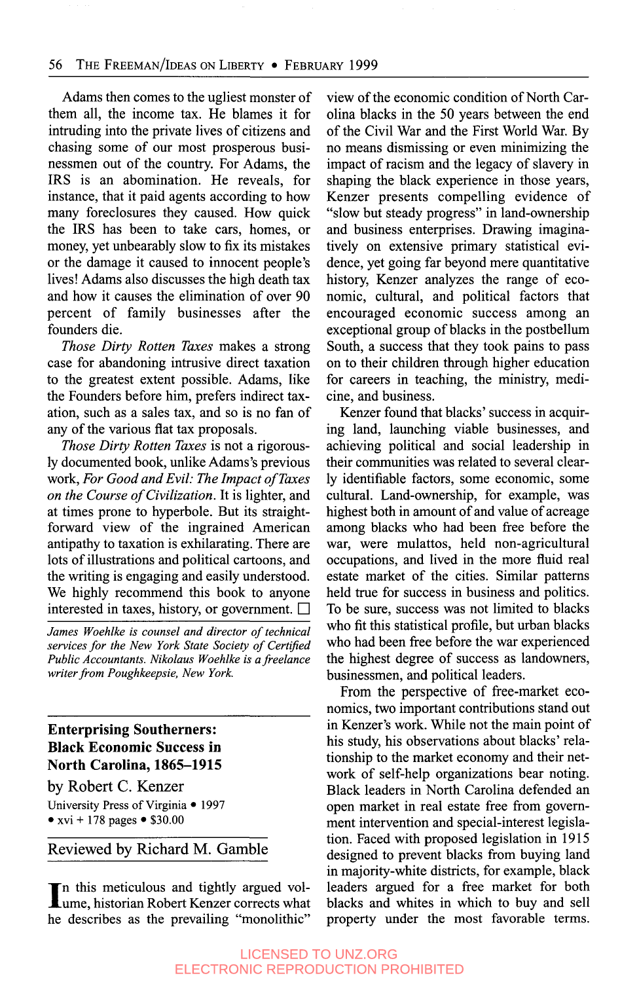#### 56 THE FREEMAN/IDEAS ON LIBERTY • FEBRUARY 1999

Adams then comes to the ugliest monster of them all, the income tax. He blames it for intruding into the private lives of citizens and chasing some of our most prosperous businessmen out of the country. For Adams, the IRS is an abomination. He reveals, for instance, that it paid agents according to how many foreclosures they caused. How quick the IRS has been to take cars, homes, or money, yet unbearably slow to fix its mistakes or the damage it caused to innocent people's lives! Adams also discusses the high death tax and how it causes the elimination of over 90 percent of family businesses after the founders die.

*Those Dirty Rotten Taxes* makes a strong case for abandoning intrusive direct taxation to the greatest extent possible. Adams, like the Founders before him, prefers indirect taxation, such as a sales tax, and so is no fan of any of the various flat tax proposals.

*Those Dirty Rotten Taxes* is not a rigorously documented book, unlike Adams's previous work, *For Good and Evil: The Impact of Taxes on the Course of Civilization.* It is lighter, and at times prone to hyperbole. But its straightforward view of the ingrained American antipathy to taxation is exhilarating. There are lots of illustrations and political cartoons, and the writing is engaging and easily understood. We highly recommend this book to anyone interested in taxes, history, or government.  $\Box$ 

*James Woehlke is counsel and director of technical services for the New York State Society of CertiJied Public Accountants. Nikolaus Woehlke is a freelance writer from Poughkeepsie, New York.* 

## **Enterprising Southerners: Black Economic Success in North Carolina, 1865-1915**

by Robert **C.** Kenzer University Press of Virginia • 1997 •  $xvi + 178$  pages • \$30.00

### Reviewed by Richard M. Gamble

In this meticulous and tightly argued vol-<br>Lume, historian Robert Kenzer corrects what he describes as the prevailing "monolithic" view of the economic condition of North Carolina blacks in the 50 years between the end of the Civil War and the First World War. By no means dismissing or even minimizing the impact of racism and the legacy of slavery in shaping the black experience in those years, Kenzer presents compelling evidence of "slow but steady progress" in land-ownership and business enterprises. Drawing imaginatively on extensive primary statistical evidence, yet going far beyond mere quantitative history, Kenzer analyzes the range of economic, cultural, and political factors that encouraged economic success among an exceptional group of blacks in the postbellum South, a success that they took pains to pass on to their children through higher education for careers in teaching, the ministry, medicine, and business.

Kenzer found that blacks' success in acquiring land, launching viable businesses, and achieving political and social leadership in their communities was related to several clearly identifiable factors, some economic, some cultural. Land-ownership, for example, was highest both in amount of and value of acreage among blacks who had been free before the war, were mulattos, held non-agricultural occupations, and lived in the more fluid real estate market of the cities. Similar patterns held true for success in business and politics. To be sure, success was not limited to blacks who fit this statistical profile, but urban blacks who had been free before the war experienced the highest degree of success as landowners, businessmen, and political leaders.

From the perspective of free-market economics, two important contributions stand out in Kenzer's work. While not the main point of his study, his observations about blacks' relationship to the market economy and their network of self-help organizations bear noting. Black leaders in North Carolina defended an open market in real estate free from government intervention and special-interest legislation. Faced with proposed legislation in 19 15 designed to prevent blacks from buying land in majority-white districts, for example, black leaders argued for a free market for both blacks and whites in which to buy and sell property under the most favorable terms.

### LICENSED TO UNZ.ORG ELECTRONIC REPRODUCTION PROHIBITED